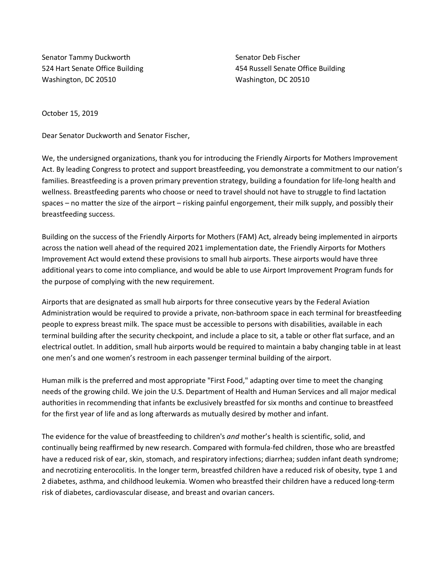Senator Tammy Duckworth 524 Hart Senate Office Building Washington, DC 20510

Senator Deb Fischer 454 Russell Senate Office Building Washington, DC 20510

October 15, 2019

Dear Senator Duckworth and Senator Fischer,

We, the undersigned organizations, thank you for introducing the Friendly Airports for Mothers Improvement Act. By leading Congress to protect and support breastfeeding, you demonstrate a commitment to our nation's families. Breastfeeding is a proven primary prevention strategy, building a foundation for life-long health and wellness. Breastfeeding parents who choose or need to travel should not have to struggle to find lactation spaces – no matter the size of the airport – risking painful engorgement, their milk supply, and possibly their breastfeeding success.

Building on the success of the Friendly Airports for Mothers (FAM) Act, already being implemented in airports across the nation well ahead of the required 2021 implementation date, the Friendly Airports for Mothers Improvement Act would extend these provisions to small hub airports. These airports would have three additional years to come into compliance, and would be able to use Airport Improvement Program funds for the purpose of complying with the new requirement.

Airports that are designated as small hub airports for three consecutive years by the Federal Aviation Administration would be required to provide a private, non-bathroom space in each terminal for breastfeeding people to express breast milk. The space must be accessible to persons with disabilities, available in each terminal building after the security checkpoint, and include a place to sit, a table or other flat surface, and an electrical outlet. In addition, small hub airports would be required to maintain a baby changing table in at least one men's and one women's restroom in each passenger terminal building of the airport.

Human milk is the preferred and most appropriate "First Food," adapting over time to meet the changing needs of the growing child. We join the U.S. Department of Health and Human Services and all major medical authorities in recommending that infants be exclusively breastfed for six months and continue to breastfeed for the first year of life and as long afterwards as mutually desired by mother and infant.

The evidence for the value of breastfeeding to children's *and* mother's health is scientific, solid, and continually being reaffirmed by new research. Compared with formula-fed children, those who are breastfed have a reduced risk of ear, skin, stomach, and respiratory infections; diarrhea; sudden infant death syndrome; and necrotizing enterocolitis. In the longer term, breastfed children have a reduced risk of obesity, type 1 and 2 diabetes, asthma, and childhood leukemia. Women who breastfed their children have a reduced long-term risk of diabetes, cardiovascular disease, and breast and ovarian cancers.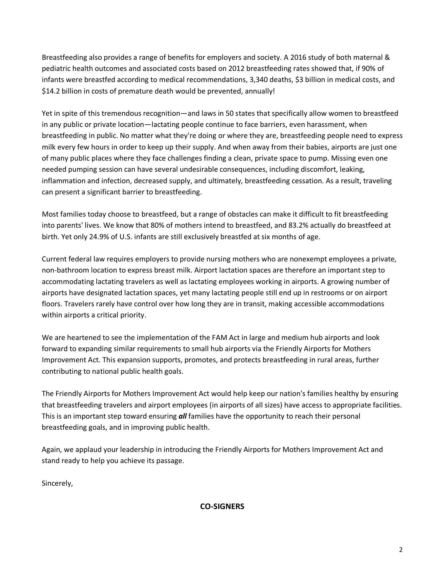Breastfeeding also provides a range of benefits for employers and society. A 2016 study of both maternal & pediatric health outcomes and associated costs based on 2012 breastfeeding rates showed that, if 90% of infants were breastfed according to medical recommendations, 3,340 deaths, \$3 billion in medical costs, and \$14.2 billion in costs of premature death would be prevented, annually!

Yet in spite of this tremendous recognition—and laws in 50 states that specifically allow women to breastfeed in any public or private location—lactating people continue to face barriers, even harassment, when breastfeeding in public. No matter what they're doing or where they are, breastfeeding people need to express milk every few hours in order to keep up their supply. And when away from their babies, airports are just one of many public places where they face challenges finding a clean, private space to pump. Missing even one needed pumping session can have several undesirable consequences, including discomfort, leaking, inflammation and infection, decreased supply, and ultimately, breastfeeding cessation. As a result, traveling can present a significant barrier to breastfeeding.

Most families today choose to breastfeed, but a range of obstacles can make it difficult to fit breastfeeding into parents' lives. We know that 80% of mothers intend to breastfeed, and 83.2% actually do breastfeed at birth. Yet only 24.9% of U.S. infants are still exclusively breastfed at six months of age.

Current federal law requires employers to provide nursing mothers who are nonexempt employees a private, non-bathroom location to express breast milk. Airport lactation spaces are therefore an important step to accommodating lactating travelers as well as lactating employees working in airports. A growing number of airports have designated lactation spaces, yet many lactating people still end up in restrooms or on airport floors. Travelers rarely have control over how long they are in transit, making accessible accommodations within airports a critical priority.

We are heartened to see the implementation of the FAM Act in large and medium hub airports and look forward to expanding similar requirements to small hub airports via the Friendly Airports for Mothers Improvement Act. This expansion supports, promotes, and protects breastfeeding in rural areas, further contributing to national public health goals.

The Friendly Airports for Mothers Improvement Act would help keep our nation's families healthy by ensuring that breastfeeding travelers and airport employees (in airports of all sizes) have access to appropriate facilities. This is an important step toward ensuring *all* families have the opportunity to reach their personal breastfeeding goals, and in improving public health.

Again, we applaud your leadership in introducing the Friendly Airports for Mothers Improvement Act and stand ready to help you achieve its passage.

Sincerely,

**CO-SIGNERS**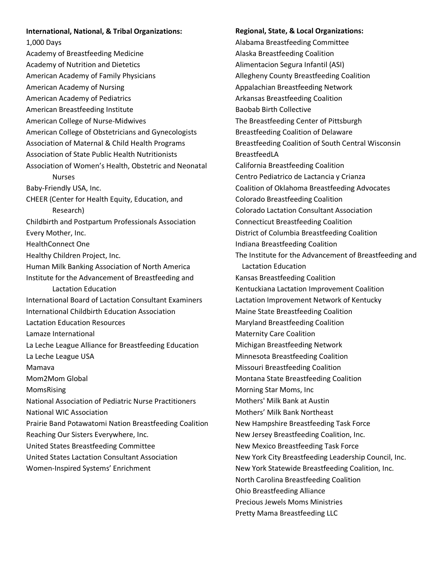## **International, National, & Tribal Organizations:**

1,000 Days Academy of Breastfeeding Medicine Academy of Nutrition and Dietetics American Academy of Family Physicians American Academy of Nursing American Academy of Pediatrics American Breastfeeding Institute American College of Nurse-Midwives American College of Obstetricians and Gynecologists Association of Maternal & Child Health Programs Association of State Public Health Nutritionists Association of Women's Health, Obstetric and Neonatal Nurses Baby-Friendly USA, Inc. CHEER (Center for Health Equity, Education, and Research) Childbirth and Postpartum Professionals Association Every Mother, Inc. HealthConnect One Healthy Children Project, Inc. Human Milk Banking Association of North America Institute for the Advancement of Breastfeeding and Lactation Education International Board of Lactation Consultant Examiners International Childbirth Education Association Lactation Education Resources Lamaze International La Leche League Alliance for Breastfeeding Education La Leche League USA Mamava Mom2Mom Global MomsRising National Association of Pediatric Nurse Practitioners National WIC Association Prairie Band Potawatomi Nation Breastfeeding Coalition Reaching Our Sisters Everywhere, Inc. United States Breastfeeding Committee United States Lactation Consultant Association Women-Inspired Systems' Enrichment

**Regional, State, & Local Organizations:**  Alabama Breastfeeding Committee Alaska Breastfeeding Coalition Alimentacion Segura Infantil (ASI) Allegheny County Breastfeeding Coalition Appalachian Breastfeeding Network Arkansas Breastfeeding Coalition Baobab Birth Collective The Breastfeeding Center of Pittsburgh Breastfeeding Coalition of Delaware Breastfeeding Coalition of South Central Wisconsin BreastfeedLA California Breastfeeding Coalition Centro Pediatrico de Lactancia y Crianza Coalition of Oklahoma Breastfeeding Advocates Colorado Breastfeeding Coalition Colorado Lactation Consultant Association Connecticut Breastfeeding Coalition District of Columbia Breastfeeding Coalition Indiana Breastfeeding Coalition The Institute for the Advancement of Breastfeeding and Lactation Education Kansas Breastfeeding Coalition Kentuckiana Lactation Improvement Coalition Lactation Improvement Network of Kentucky Maine State Breastfeeding Coalition Maryland Breastfeeding Coalition Maternity Care Coalition Michigan Breastfeeding Network Minnesota Breastfeeding Coalition Missouri Breastfeeding Coalition Montana State Breastfeeding Coalition Morning Star Moms, Inc Mothers' Milk Bank at Austin Mothers' Milk Bank Northeast New Hampshire Breastfeeding Task Force New Jersey Breastfeeding Coalition, Inc. New Mexico Breastfeeding Task Force New York City Breastfeeding Leadership Council, Inc. New York Statewide Breastfeeding Coalition, Inc. North Carolina Breastfeeding Coalition Ohio Breastfeeding Alliance Precious Jewels Moms Ministries Pretty Mama Breastfeeding LLC